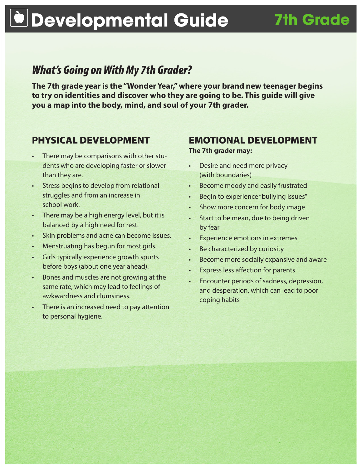# **Developmental Guide 7th Grade**

# *What's Going on With My 7th Grader?*

**The 7th grade year is the "Wonder Year," where your brand new teenager begins to try on identities and discover who they are going to be. This guide will give you a map into the body, mind, and soul of your 7th grader.**

### PHYSICAL DEVELOPMENT

- There may be comparisons with other students who are developing faster or slower than they are.
- Stress begins to develop from relational struggles and from an increase in school work.
- There may be a high energy level, but it is balanced by a high need for rest.
- Skin problems and acne can become issues.
- Menstruating has begun for most girls.
- Girls typically experience growth spurts before boys (about one year ahead).
- Bones and muscles are not growing at the same rate, which may lead to feelings of awkwardness and clumsiness.
- There is an increased need to pay attention to personal hygiene.

## EMOTIONAL DEVELOPMENT

**The 7th grader may:**

- Desire and need more privacy (with boundaries)
- Become moody and easily frustrated
- • Begin to experience "bullying issues"
- Show more concern for body image
- Start to be mean, due to being driven by fear
- **Experience emotions in extremes**
- Be characterized by curiosity
- • Become more socially expansive and aware
- **Express less affection for parents**
- Encounter periods of sadness, depression, and desperation, which can lead to poor coping habits